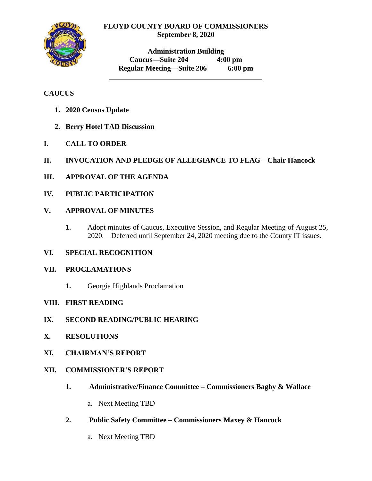### **FLOYD COUNTY BOARD OF COMMISSIONERS September 8, 2020**



**Administration Building Caucus—Suite 204 4:00 pm Regular Meeting—Suite 206 6:00 pm**

# **CAUCUS**

- **1. 2020 Census Update**
- **2. Berry Hotel TAD Discussion**
- **I. CALL TO ORDER**
- **II. INVOCATION AND PLEDGE OF ALLEGIANCE TO FLAG—Chair Hancock**
- **III. APPROVAL OF THE AGENDA**
- **IV. PUBLIC PARTICIPATION**

## **V. APPROVAL OF MINUTES**

**1.** Adopt minutes of Caucus, Executive Session, and Regular Meeting of August 25, 2020.—Deferred until September 24, 2020 meeting due to the County IT issues.

## **VI. SPECIAL RECOGNITION**

### **VII. PROCLAMATIONS**

**1.** Georgia Highlands Proclamation

## **VIII. FIRST READING**

- **IX. SECOND READING/PUBLIC HEARING**
- **X. RESOLUTIONS**
- **XI. CHAIRMAN'S REPORT**

## **XII. COMMISSIONER'S REPORT**

- **1. Administrative/Finance Committee – Commissioners Bagby & Wallace**
	- a. Next Meeting TBD
- **2. Public Safety Committee – Commissioners Maxey & Hancock**
	- a. Next Meeting TBD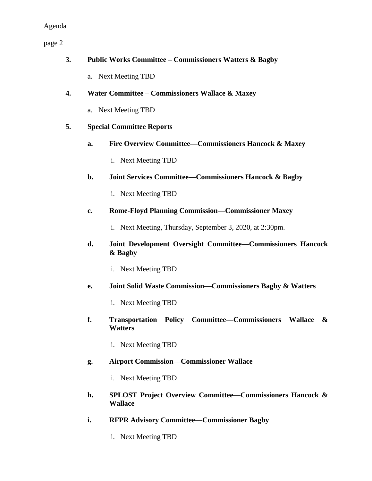page 2

| 3.                                     |    | <b>Public Works Committee – Commissioners Watters &amp; Bagby</b>                      |  |
|----------------------------------------|----|----------------------------------------------------------------------------------------|--|
|                                        |    |                                                                                        |  |
|                                        |    | a. Next Meeting TBD                                                                    |  |
| 4.                                     |    | Water Committee – Commissioners Wallace & Maxey                                        |  |
|                                        |    | a. Next Meeting TBD                                                                    |  |
| <b>Special Committee Reports</b><br>5. |    |                                                                                        |  |
|                                        | a. | Fire Overview Committee-Commissioners Hancock & Maxey                                  |  |
|                                        |    | i. Next Meeting TBD                                                                    |  |
|                                        | b. | Joint Services Committee-Commissioners Hancock & Bagby                                 |  |
|                                        |    | i. Next Meeting TBD                                                                    |  |
|                                        | c. | <b>Rome-Floyd Planning Commission-Commissioner Maxey</b>                               |  |
|                                        |    | i. Next Meeting, Thursday, September 3, 2020, at 2:30pm.                               |  |
|                                        | d. | Joint Development Oversight Committee-Commissioners Hancock<br>& Bagby                 |  |
|                                        |    | i. Next Meeting TBD                                                                    |  |
|                                        | е. | Joint Solid Waste Commission—Commissioners Bagby & Watters                             |  |
|                                        |    | i. Next Meeting TBD                                                                    |  |
|                                        | f. | Transportation Policy Committee–Commissioners Wallace &<br><b>Watters</b>              |  |
|                                        |    | i. Next Meeting TBD                                                                    |  |
|                                        | g. | <b>Airport Commission-Commissioner Wallace</b>                                         |  |
|                                        |    | i. Next Meeting TBD                                                                    |  |
|                                        | h. | <b>SPLOST Project Overview Committee–Commissioners Hancock &amp;</b><br><b>Wallace</b> |  |
|                                        | i. | <b>RFPR Advisory Committee-Commissioner Bagby</b>                                      |  |

i. Next Meeting TBD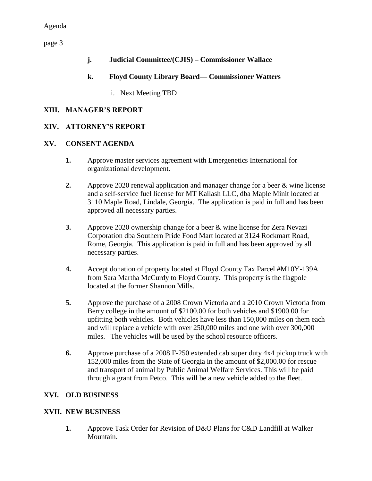page 3

- **j. Judicial Committee/(CJIS) – Commissioner Wallace**
- **k. Floyd County Library Board— Commissioner Watters** 
	- i. Next Meeting TBD

### **XIII. MANAGER'S REPORT**

### **XIV. ATTORNEY'S REPORT**

### **XV. CONSENT AGENDA**

- **1.** Approve master services agreement with Emergenetics International for organizational development.
- **2.** Approve 2020 renewal application and manager change for a beer & wine license and a self-service fuel license for MT Kailash LLC, dba Maple Minit located at 3110 Maple Road, Lindale, Georgia. The application is paid in full and has been approved all necessary parties.
- **3.** Approve 2020 ownership change for a beer & wine license for Zera Nevazi Corporation dba Southern Pride Food Mart located at 3124 Rockmart Road, Rome, Georgia. This application is paid in full and has been approved by all necessary parties.
- **4.** Accept donation of property located at Floyd County Tax Parcel #M10Y-139A from Sara Martha McCurdy to Floyd County. This property is the flagpole located at the former Shannon Mills.
- **5.** Approve the purchase of a 2008 Crown Victoria and a 2010 Crown Victoria from Berry college in the amount of \$2100.00 for both vehicles and \$1900.00 for upfitting both vehicles. Both vehicles have less than 150,000 miles on them each and will replace a vehicle with over 250,000 miles and one with over 300,000 miles. The vehicles will be used by the school resource officers.
- **6.** Approve purchase of a 2008 F-250 extended cab super duty 4x4 pickup truck with 152,000 miles from the State of Georgia in the amount of \$2,000.00 for rescue and transport of animal by Public Animal Welfare Services. This will be paid through a grant from Petco. This will be a new vehicle added to the fleet.

### **XVI. OLD BUSINESS**

### **XVII. NEW BUSINESS**

**1.** Approve Task Order for Revision of D&O Plans for C&D Landfill at Walker Mountain.